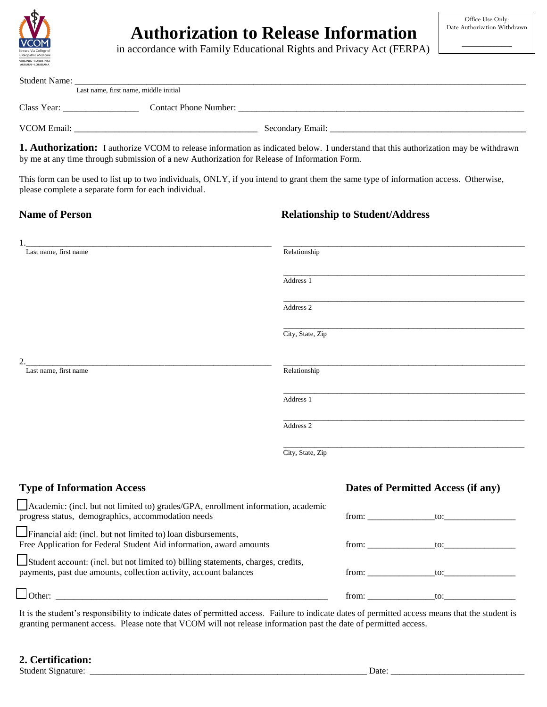

# \_\_\_\_\_\_\_\_\_\_\_\_\_\_ **Authorization to Release Information**

in accordance with Family Educational Rights and Privacy Act (FERPA)

| <b>Student Name:</b> | Last name, first name, middle initial |                  |  |
|----------------------|---------------------------------------|------------------|--|
| Class Year:          | <b>Contact Phone Number:</b>          |                  |  |
| <b>VCOM Email:</b>   |                                       | Secondary Email: |  |

**1. Authorization:** I authorize VCOM to release information as indicated below. I understand that this authorization may be withdrawn by me at any time through submission of a new Authorization for Release of Information Form.

This form can be used to list up to two individuals, ONLY, if you intend to grant them the same type of information access. Otherwise, please complete a separate form for each individual.

# **Name of Person Relationship to Student/Address**

| Last name, first name                                                                                                                                  | Relationship     |                                    |  |
|--------------------------------------------------------------------------------------------------------------------------------------------------------|------------------|------------------------------------|--|
|                                                                                                                                                        | Address 1        |                                    |  |
|                                                                                                                                                        |                  |                                    |  |
|                                                                                                                                                        | Address 2        |                                    |  |
|                                                                                                                                                        | City, State, Zip |                                    |  |
|                                                                                                                                                        |                  |                                    |  |
| Last name, first name                                                                                                                                  | Relationship     |                                    |  |
|                                                                                                                                                        | Address 1        |                                    |  |
|                                                                                                                                                        | Address 2        |                                    |  |
|                                                                                                                                                        |                  |                                    |  |
|                                                                                                                                                        | City, State, Zip |                                    |  |
|                                                                                                                                                        |                  |                                    |  |
| <b>Type of Information Access</b>                                                                                                                      |                  | Dates of Permitted Access (if any) |  |
| Academic: (incl. but not limited to) grades/GPA, enrollment information, academic<br>progress status, demographics, accommodation needs                | from: to:        |                                    |  |
| Financial aid: (incl. but not limited to) loan disbursements,                                                                                          |                  |                                    |  |
| Free Application for Federal Student Aid information, award amounts                                                                                    |                  |                                    |  |
| Student account: (incl. but not limited to) billing statements, charges, credits,<br>payments, past due amounts, collection activity, account balances | from: to:        |                                    |  |
| $\Box$ Other:                                                                                                                                          |                  |                                    |  |

It is the student's responsibility to indicate dates of permitted access. Failure to indicate dates of permitted access means that the student is granting permanent access. Please note that VCOM will not release information past the date of permitted access.

# **2. Certification:**

Student Signature: \_\_\_\_\_\_\_\_\_\_\_\_\_\_\_\_\_\_\_\_\_\_\_\_\_\_\_\_\_\_\_\_\_\_\_\_\_\_\_\_\_\_\_\_\_\_\_\_\_\_\_\_\_\_\_\_\_\_\_\_\_\_ Date: \_\_\_\_\_\_\_\_\_\_\_\_\_\_\_\_\_\_\_\_\_\_\_\_\_\_\_\_\_\_